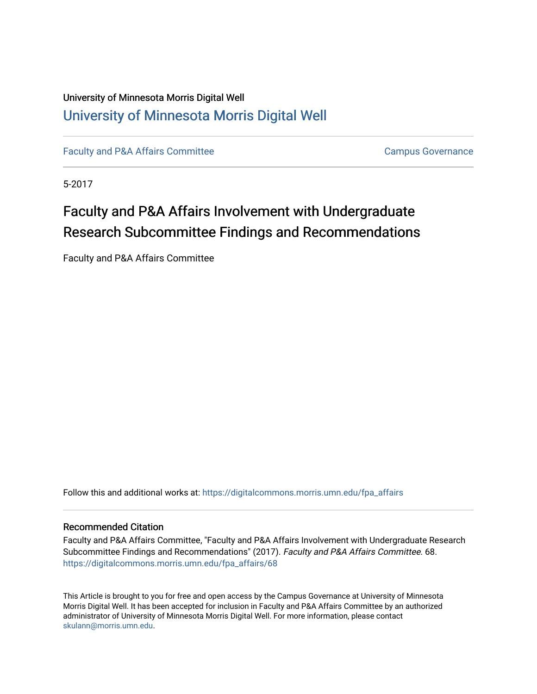### University of Minnesota Morris Digital Well [University of Minnesota Morris Digital Well](https://digitalcommons.morris.umn.edu/)

[Faculty and P&A Affairs Committee](https://digitalcommons.morris.umn.edu/fpa_affairs) **Campus Governance** Campus Governance

5-2017

# Faculty and P&A Affairs Involvement with Undergraduate Research Subcommittee Findings and Recommendations

Faculty and P&A Affairs Committee

Follow this and additional works at: [https://digitalcommons.morris.umn.edu/fpa\\_affairs](https://digitalcommons.morris.umn.edu/fpa_affairs?utm_source=digitalcommons.morris.umn.edu%2Ffpa_affairs%2F68&utm_medium=PDF&utm_campaign=PDFCoverPages)

#### Recommended Citation

Faculty and P&A Affairs Committee, "Faculty and P&A Affairs Involvement with Undergraduate Research Subcommittee Findings and Recommendations" (2017). Faculty and P&A Affairs Committee. 68. [https://digitalcommons.morris.umn.edu/fpa\\_affairs/68](https://digitalcommons.morris.umn.edu/fpa_affairs/68?utm_source=digitalcommons.morris.umn.edu%2Ffpa_affairs%2F68&utm_medium=PDF&utm_campaign=PDFCoverPages) 

This Article is brought to you for free and open access by the Campus Governance at University of Minnesota Morris Digital Well. It has been accepted for inclusion in Faculty and P&A Affairs Committee by an authorized administrator of University of Minnesota Morris Digital Well. For more information, please contact [skulann@morris.umn.edu.](mailto:skulann@morris.umn.edu)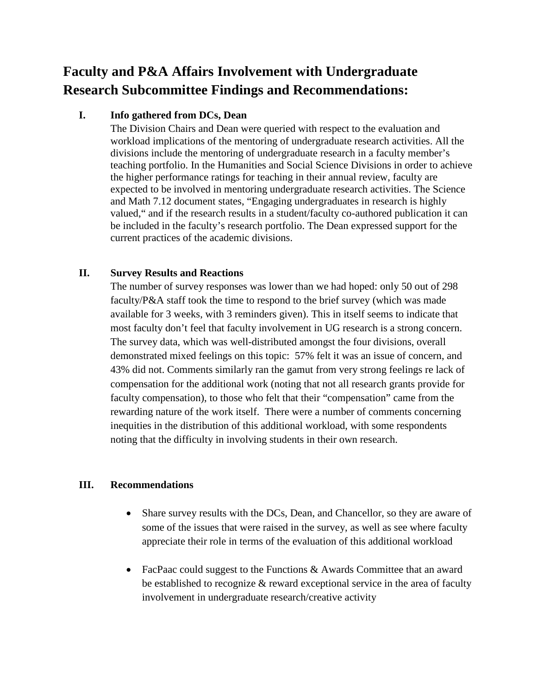## **Faculty and P&A Affairs Involvement with Undergraduate Research Subcommittee Findings and Recommendations:**

### **I. Info gathered from DCs, Dean**

The Division Chairs and Dean were queried with respect to the evaluation and workload implications of the mentoring of undergraduate research activities. All the divisions include the mentoring of undergraduate research in a faculty member's teaching portfolio. In the Humanities and Social Science Divisions in order to achieve the higher performance ratings for teaching in their annual review, faculty are expected to be involved in mentoring undergraduate research activities. The Science and Math 7.12 document states, "Engaging undergraduates in research is highly valued," and if the research results in a student/faculty co-authored publication it can be included in the faculty's research portfolio. The Dean expressed support for the current practices of the academic divisions.

### **II. Survey Results and Reactions**

The number of survey responses was lower than we had hoped: only 50 out of 298 faculty/P&A staff took the time to respond to the brief survey (which was made available for 3 weeks, with 3 reminders given). This in itself seems to indicate that most faculty don't feel that faculty involvement in UG research is a strong concern. The survey data, which was well-distributed amongst the four divisions, overall demonstrated mixed feelings on this topic: 57% felt it was an issue of concern, and 43% did not. Comments similarly ran the gamut from very strong feelings re lack of compensation for the additional work (noting that not all research grants provide for faculty compensation), to those who felt that their "compensation" came from the rewarding nature of the work itself. There were a number of comments concerning inequities in the distribution of this additional workload, with some respondents noting that the difficulty in involving students in their own research.

#### **III. Recommendations**

- Share survey results with the DCs, Dean, and Chancellor, so they are aware of some of the issues that were raised in the survey, as well as see where faculty appreciate their role in terms of the evaluation of this additional workload
- FacPaac could suggest to the Functions & Awards Committee that an award be established to recognize & reward exceptional service in the area of faculty involvement in undergraduate research/creative activity